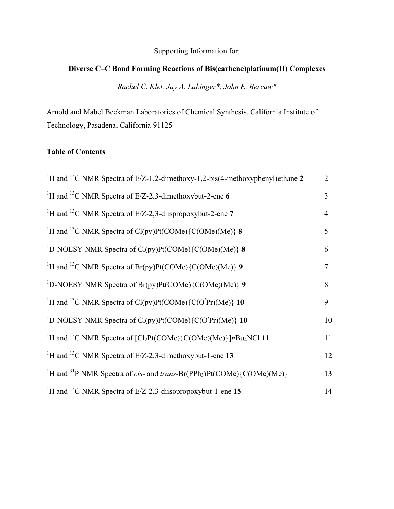#### Supporting Information for:

### **Diverse C–C Bond Forming Reactions of Bis(carbene)platinum(II) Complexes**

*Rachel C. Klet, Jay A. Labinger\*, John E. Bercaw\** 

Arnold and Mabel Beckman Laboratories of Chemical Synthesis, California Institute of Technology, Pasadena, California 91125

## **Table of Contents**

| <sup>1</sup> H and <sup>13</sup> C NMR Spectra of E/Z-1,2-dimethoxy-1,2-bis(4-methoxyphenyl)ethane 2                                | $\overline{2}$ |
|-------------------------------------------------------------------------------------------------------------------------------------|----------------|
| <sup>1</sup> H and <sup>13</sup> C NMR Spectra of E/Z-2,3-dimethoxybut-2-ene 6                                                      | $\overline{3}$ |
| <sup>1</sup> H and <sup>13</sup> C NMR Spectra of E/Z-2,3-diispropoxybut-2-ene 7                                                    | $\overline{4}$ |
| <sup>1</sup> H and <sup>13</sup> C NMR Spectra of Cl(py)Pt(COMe){C(OMe)(Me)} 8                                                      | 5              |
| <sup>1</sup> D-NOESY NMR Spectra of Cl(py)Pt(COMe){C(OMe)(Me)} 8                                                                    | 6              |
| <sup>1</sup> H and <sup>13</sup> C NMR Spectra of Br(py)Pt(COMe){C(OMe)(Me)} 9                                                      | $\overline{7}$ |
| <sup>1</sup> D-NOESY NMR Spectra of $Br(py)Pt(COME)\{C(OME)(Me)\}\$ 9                                                               | 8              |
| <sup>1</sup> H and <sup>13</sup> C NMR Spectra of Cl(py)Pt(COMe){C(O <sup><i>i</i></sup> Pr)(Me)} 10                                | 9              |
| <sup>1</sup> D-NOESY NMR Spectra of Cl(py)Pt(COMe){C(O <sup><i>i</i></sup> Pr)(Me)} 10                                              | 10             |
| <sup>1</sup> H and <sup>13</sup> C NMR Spectra of $\lceil$ Cl <sub>2</sub> Pt(COMe) $\lceil$ C(OMe)(Me) $\lceil nBu_4NCl \rceil$ 11 | 11             |
| <sup>1</sup> H and <sup>13</sup> C NMR Spectra of E/Z-2,3-dimethoxybut-1-ene 13                                                     | 12             |
| <sup>1</sup> H and <sup>31</sup> P NMR Spectra of cis- and trans-Br(PPh <sub>3</sub> )Pt(COMe){C(OMe)(Me)}                          | 13             |
| <sup>1</sup> H and <sup>13</sup> C NMR Spectra of E/Z-2,3-diisopropoxybut-1-ene 15                                                  | 14             |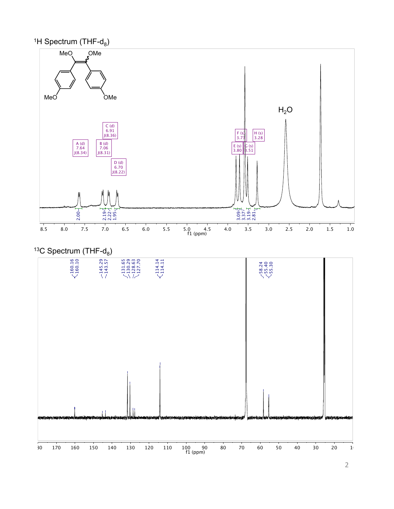



# $13C$  Spectrum (THF- $d_8$ )

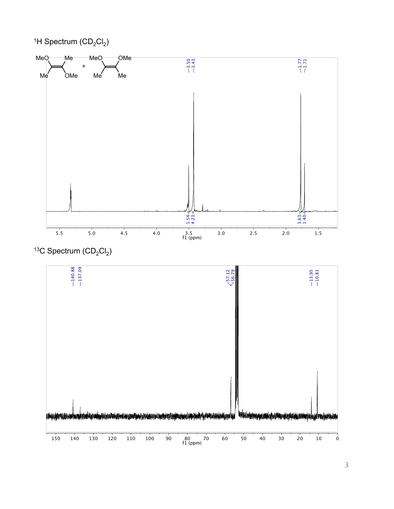

<sup>13</sup>C Spectrum  $(CD_2Cl_2)$ 

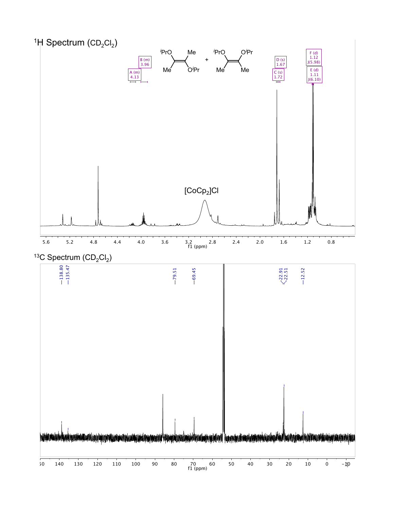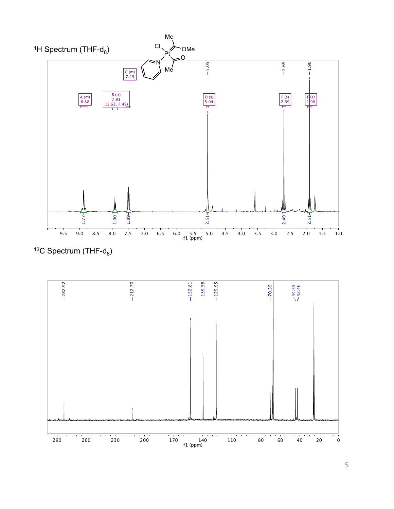

<sup>13</sup>C Spectrum (THF- $d_8$ )

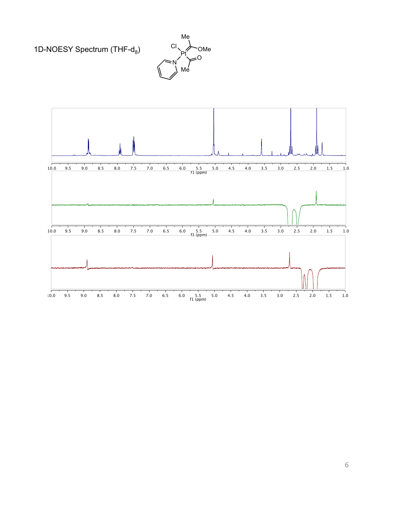1D-NOESY Spectrum (THF-d<sub>8</sub>)



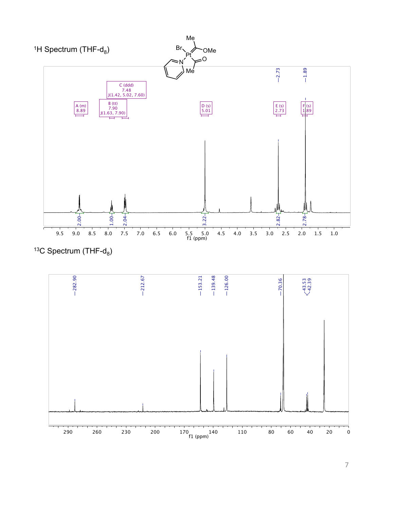

<sup>13</sup>C Spectrum (THF- $d_8$ )

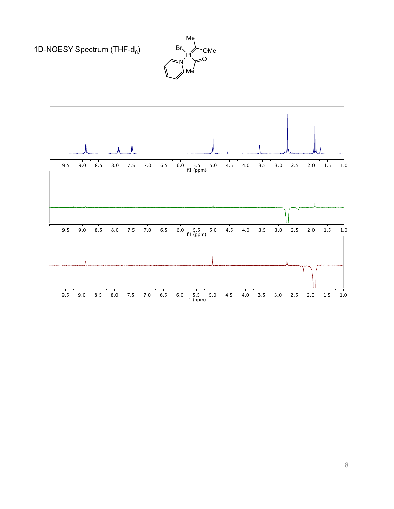1D-NOESY Spectrum (THF-d<sub>8</sub>)



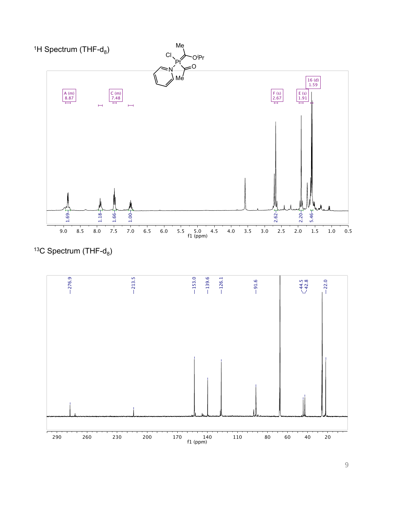

<sup>13</sup>C Spectrum (THF- $d_8$ )

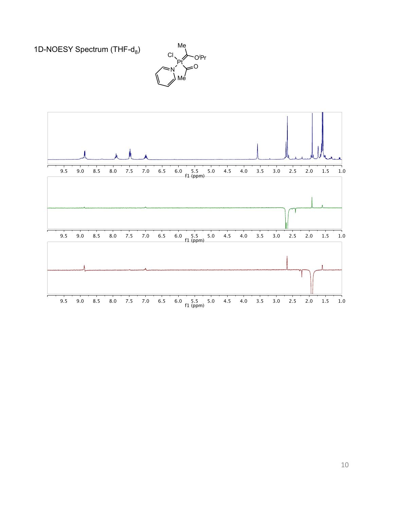1D-NOESY Spectrum (THF-d<sub>8</sub>)



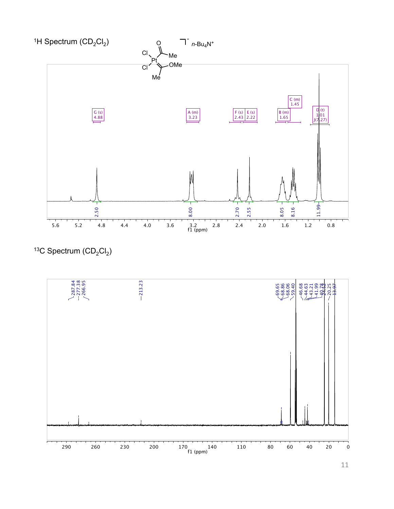

<sup>13</sup>C Spectrum  $(CD_2Cl_2)$ 

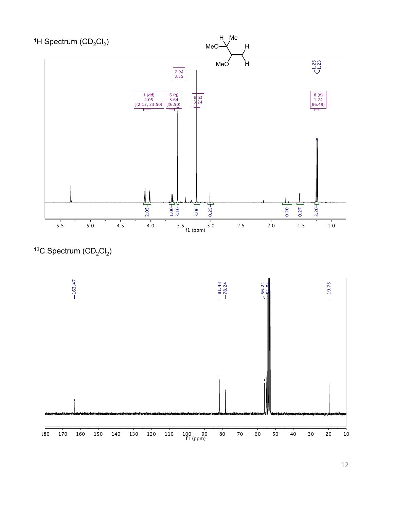

<sup>13</sup>C Spectrum  $(CD_2Cl_2)$ 

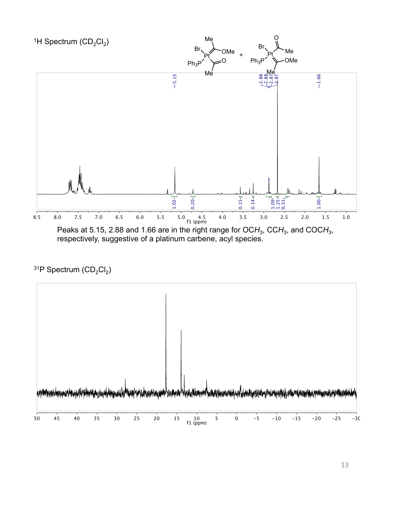

## <sup>31</sup>P Spectrum (CD<sub>2</sub>Cl<sub>2</sub>)